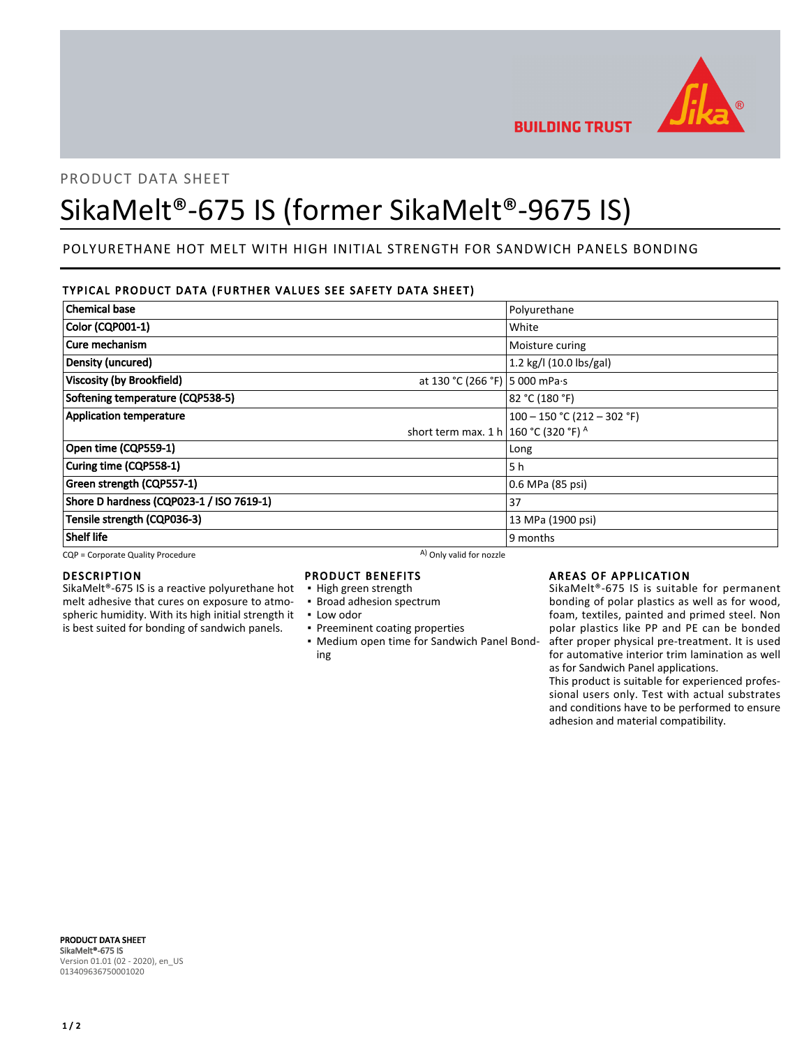

PRODUCT DATA SHEET

# SikaMelt®-675 IS (former SikaMelt®-9675 IS)

# POLYURETHANE HOT MELT WITH HIGH INITIAL STRENGTH FOR SANDWICH PANELS BONDING

### TYPICAL PRODUCT DATA (FURTHER VALUES SEE SAFETY DATA SHEET)

| <b>Chemical base</b>                                               | Polyurethane                  |
|--------------------------------------------------------------------|-------------------------------|
| <b>Color (CQP001-1)</b>                                            | White                         |
| Cure mechanism                                                     | Moisture curing               |
| Density (uncured)                                                  | 1.2 kg/l (10.0 lbs/gal)       |
| <b>Viscosity (by Brookfield)</b><br>at 130 °C (266 °F) 5 000 mPa·s |                               |
| Softening temperature (CQP538-5)                                   | 82 °C (180 °F)                |
| <b>Application temperature</b>                                     | $100 - 150$ °C (212 - 302 °F) |
| short term max. 1 h 160 °C (320 °F) A                              |                               |
| Open time (CQP559-1)                                               | Long                          |
| Curing time (CQP558-1)                                             | 5 h                           |
| Green strength (CQP557-1)                                          | 0.6 MPa (85 psi)              |
| Shore D hardness (CQP023-1 / ISO 7619-1)                           | 37                            |
| Tensile strength (CQP036-3)                                        | 13 MPa (1900 psi)             |
| <b>Shelf life</b>                                                  | 9 months                      |

CQP = Corporate Quality Procedure A) Only valid for nozzle

#### DESCRIPTION

SikaMelt®-675 IS is a reactive polyurethane hot melt adhesive that cures on exposure to atmospheric humidity. With its high initial strength it is best suited for bonding of sandwich panels.

# PRODUCT BENEFITS

- High green strength
- **· Broad adhesion spectrum**
- Low odor
- **Preeminent coating properties**
- Medium open time for Sandwich Panel Bond-▪ ing

#### AREAS OF APPLICATION

SikaMelt®-675 IS is suitable for permanent bonding of polar plastics as well as for wood, foam, textiles, painted and primed steel. Non polar plastics like PP and PE can be bonded after proper physical pre-treatment. It is used for automative interior trim lamination as well as for Sandwich Panel applications.

This product is suitable for experienced professional users only. Test with actual substrates and conditions have to be performed to ensure adhesion and material compatibility.

PRODUCT DATA SHEET SikaMelt®-675 IS Version 01.01 (02 - 2020), en\_US 013409636750001020